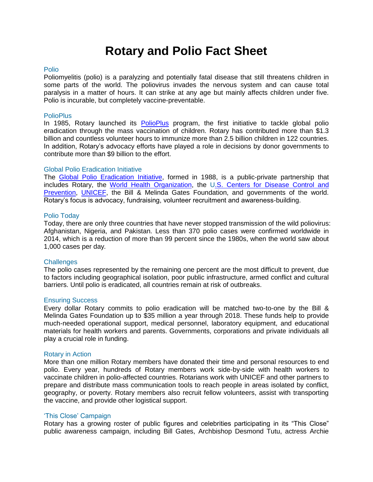# **Rotary and Polio Fact Sheet**

#### Polio

Poliomyelitis (polio) is a paralyzing and potentially fatal disease that still threatens children in some parts of the world. The poliovirus invades the nervous system and can cause total paralysis in a matter of hours. It can strike at any age but mainly affects children under five. Polio is incurable, but completely vaccine-preventable.

#### **PolioPlus**

In 1985, Rotary launched its [PolioPlus](https://www.rotary.org/myrotary/en/take-action/end-polio) program, the first initiative to tackle global polio eradication through the mass vaccination of children. Rotary has contributed more than \$1.3 billion and countless volunteer hours to immunize more than 2.5 billion children in 122 countries. In addition, Rotary's advocacy efforts have played a role in decisions by donor governments to contribute more than \$9 billion to the effort.

## Global Polio Eradication Initiative

The [Global Polio Eradication Initiative,](http://www.polioeradication.org/) formed in 1988, is a public-private partnership that includes Rotary, the [World Health Organization,](http://www.who.int/en/) the [U.S. Centers for Disease Control and](http://www.cdc.gov/)  [Prevention,](http://www.cdc.gov/) [UNICEF,](http://www.unicef.org/) the Bill & Melinda Gates Foundation, and governments of the world. Rotary's focus is advocacy, fundraising, volunteer recruitment and awareness-building.

## Polio Today

Today, there are only three countries that have never stopped transmission of the wild poliovirus: Afghanistan, Nigeria, and Pakistan. Less than 370 polio cases were confirmed worldwide in 2014, which is a reduction of more than 99 percent since the 1980s, when the world saw about 1,000 cases per day*.*

## **Challenges**

The polio cases represented by the remaining one percent are the most difficult to prevent, due to factors including geographical isolation, poor public infrastructure, armed conflict and cultural barriers. Until polio is eradicated, all countries remain at risk of outbreaks.

#### Ensuring Success

Every dollar Rotary commits to polio eradication will be matched two-to-one by the Bill & Melinda Gates Foundation up to \$35 million a year through 2018. These funds help to provide much-needed operational support, medical personnel, laboratory equipment, and educational materials for health workers and parents. Governments, corporations and private individuals all play a crucial role in funding.

#### Rotary in Action

More than one million Rotary members have donated their time and personal resources to end polio. Every year, hundreds of Rotary members work side-by-side with health workers to vaccinate children in polio-affected countries. Rotarians work with UNICEF and other partners to prepare and distribute mass communication tools to reach people in areas isolated by conflict, geography, or poverty. Rotary members also recruit fellow volunteers, assist with transporting the vaccine, and provide other logistical support.

## 'This Close' Campaign

Rotary has a growing roster of public figures and celebrities participating in its "This Close" public awareness campaign, including Bill Gates, Archbishop Desmond Tutu, actress Archie